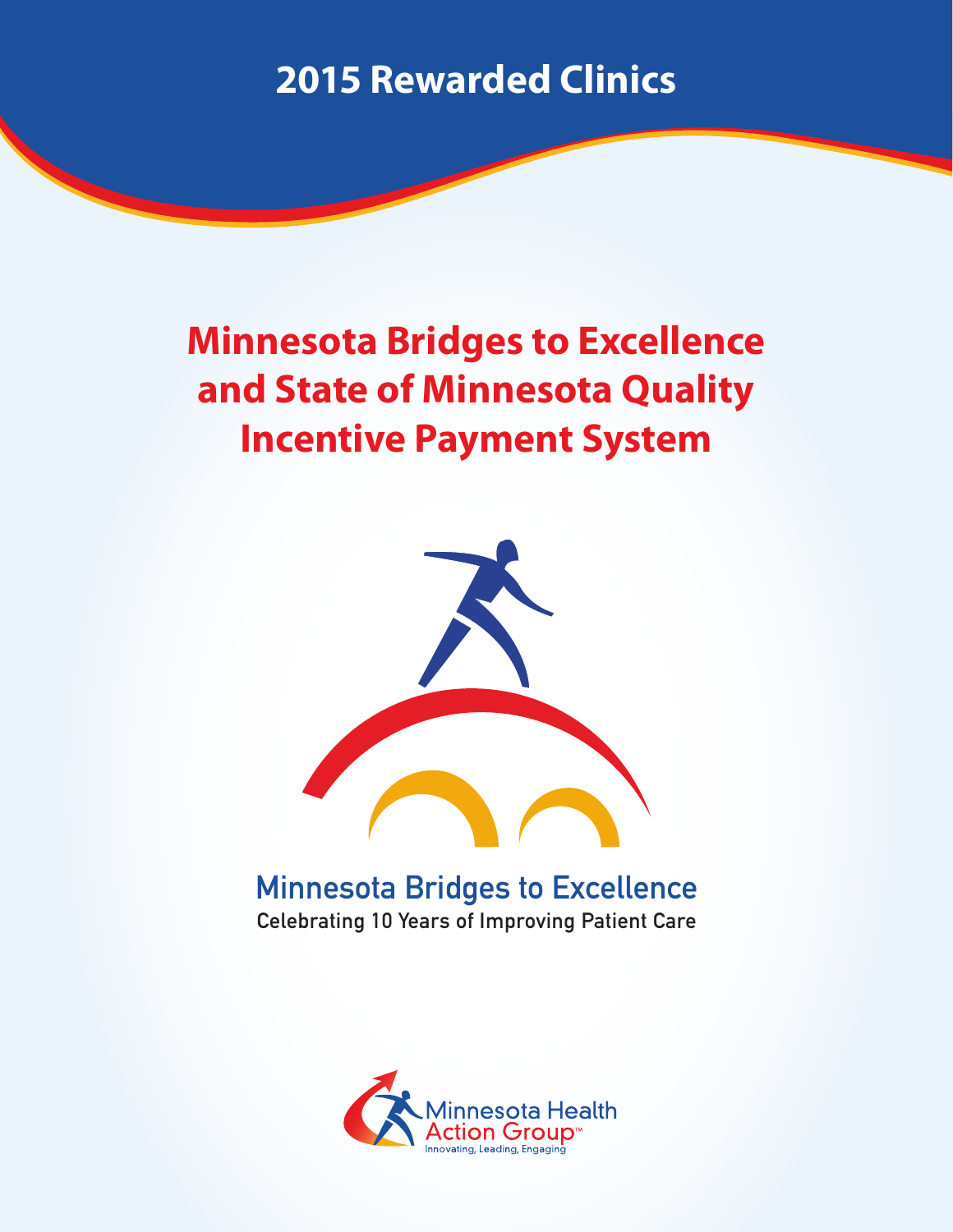#### **Minnesota Bridges to Excellence and State of Minnesota Quality Incentive Payment System**



Minnesota Bridges to Excellence Celebrating 10 Years of Improving Patient Care

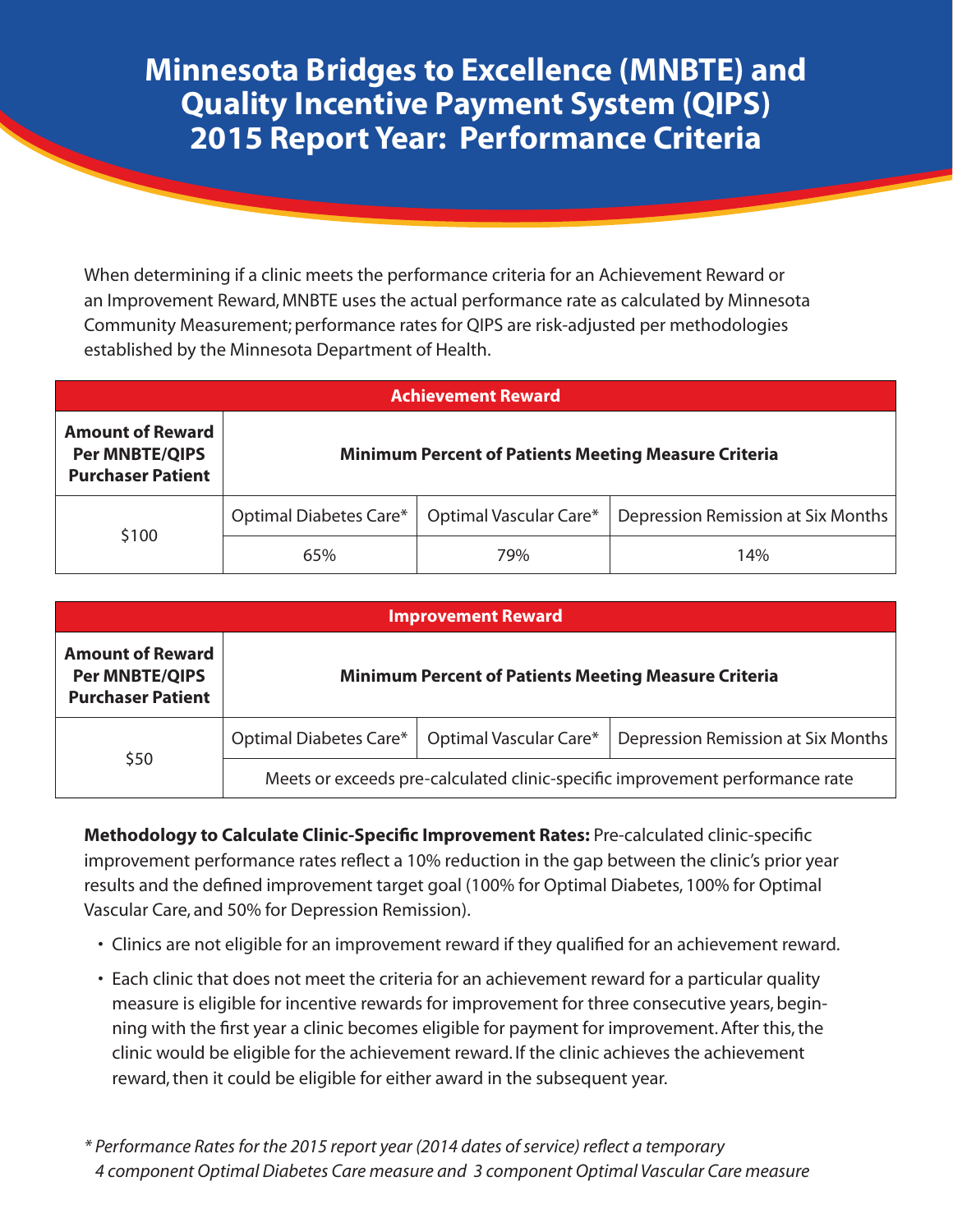#### **Minnesota Bridges to Excellence (MNBTE) and Quality Incentive Payment System (QIPS) 2015 Report Year: Performance Criteria**

When determining if a clinic meets the performance criteria for an Achievement Reward or an Improvement Reward, MNBTE uses the actual performance rate as calculated by Minnesota Community Measurement; performance rates for QIPS are risk-adjusted per methodologies established by the Minnesota Department of Health.

| <b>Achievement Reward</b>                                                    |                        |                                                             |                                    |  |  |  |  |  |
|------------------------------------------------------------------------------|------------------------|-------------------------------------------------------------|------------------------------------|--|--|--|--|--|
| <b>Amount of Reward</b><br><b>Per MNBTE/QIPS</b><br><b>Purchaser Patient</b> |                        | <b>Minimum Percent of Patients Meeting Measure Criteria</b> |                                    |  |  |  |  |  |
| \$100                                                                        | Optimal Diabetes Care* | Optimal Vascular Care*                                      | Depression Remission at Six Months |  |  |  |  |  |
|                                                                              | 65%                    | 79%                                                         | 14%                                |  |  |  |  |  |

|                                                                              |                        | <b>Improvement Reward</b>                                   |                                                                              |
|------------------------------------------------------------------------------|------------------------|-------------------------------------------------------------|------------------------------------------------------------------------------|
| <b>Amount of Reward</b><br><b>Per MNBTE/QIPS</b><br><b>Purchaser Patient</b> |                        | <b>Minimum Percent of Patients Meeting Measure Criteria</b> |                                                                              |
| \$50                                                                         | Optimal Diabetes Care* | Optimal Vascular Care*                                      | Depression Remission at Six Months                                           |
|                                                                              |                        |                                                             | Meets or exceeds pre-calculated clinic-specific improvement performance rate |

**Methodology to Calculate Clinic-Specific Improvement Rates:** Pre-calculated clinic-specific improvement performance rates reflect a 10% reduction in the gap between the clinic's prior year results and the defined improvement target goal (100% for Optimal Diabetes, 100% for Optimal Vascular Care, and 50% for Depression Remission).

- Clinics are not eligible for an improvement reward if they qualified for an achievement reward.
- Each clinic that does not meet the criteria for an achievement reward for a particular quality measure is eligible for incentive rewards for improvement for three consecutive years, beginning with the first year a clinic becomes eligible for payment for improvement. After this, the clinic would be eligible for the achievement reward. If the clinic achieves the achievement reward, then it could be eligible for either award in the subsequent year.

*\* Performance Rates for the 2015 report year (2014 dates of service) reflect a temporary 4 component Optimal Diabetes Care measure and 3 component Optimal Vascular Care measure*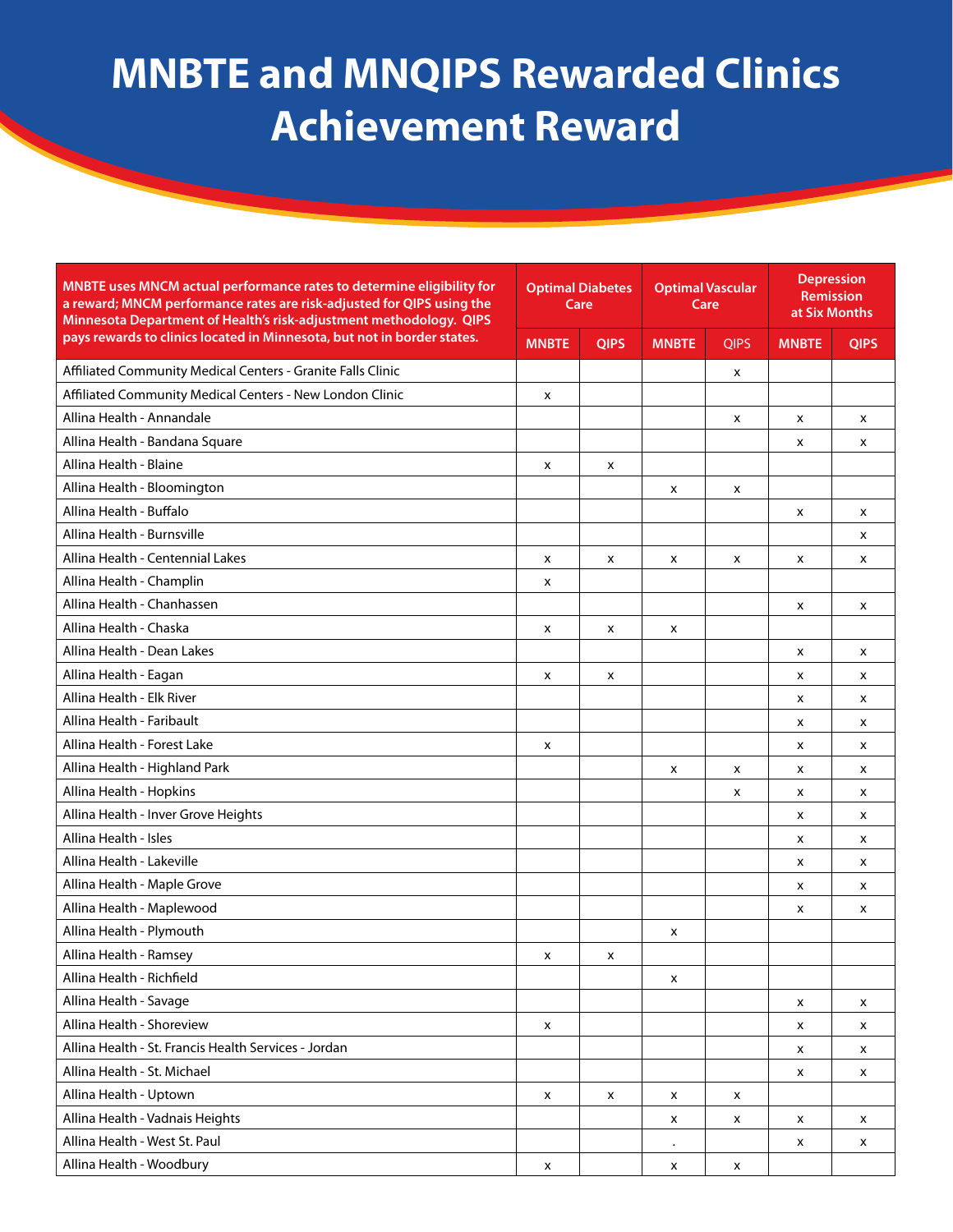| MNBTE uses MNCM actual performance rates to determine eligibility for<br>a reward; MNCM performance rates are risk-adjusted for QIPS using the<br>Minnesota Department of Health's risk-adjustment methodology. QIPS | <b>Optimal Diabetes</b><br>Care |             | <b>Optimal Vascular</b><br>Care |             | <b>Depression</b><br>Remission<br>at Six Months |             |
|----------------------------------------------------------------------------------------------------------------------------------------------------------------------------------------------------------------------|---------------------------------|-------------|---------------------------------|-------------|-------------------------------------------------|-------------|
| pays rewards to clinics located in Minnesota, but not in border states.                                                                                                                                              | <b>MNBTE</b>                    | <b>QIPS</b> | <b>MNBTE</b>                    | <b>QIPS</b> | <b>MNBTE</b>                                    | <b>QIPS</b> |
| Affiliated Community Medical Centers - Granite Falls Clinic                                                                                                                                                          |                                 |             |                                 | х           |                                                 |             |
| Affiliated Community Medical Centers - New London Clinic                                                                                                                                                             | X                               |             |                                 |             |                                                 |             |
| Allina Health - Annandale                                                                                                                                                                                            |                                 |             |                                 | X           | x                                               | x           |
| Allina Health - Bandana Square                                                                                                                                                                                       |                                 |             |                                 |             | x                                               | x           |
| Allina Health - Blaine                                                                                                                                                                                               | x                               | x           |                                 |             |                                                 |             |
| Allina Health - Bloomington                                                                                                                                                                                          |                                 |             | x                               | x           |                                                 |             |
| Allina Health - Buffalo                                                                                                                                                                                              |                                 |             |                                 |             | X                                               | x           |
| Allina Health - Burnsville                                                                                                                                                                                           |                                 |             |                                 |             |                                                 | x           |
| Allina Health - Centennial Lakes                                                                                                                                                                                     | x                               | x           | x                               | x           | x                                               | x           |
| Allina Health - Champlin                                                                                                                                                                                             | x                               |             |                                 |             |                                                 |             |
| Allina Health - Chanhassen                                                                                                                                                                                           |                                 |             |                                 |             | x                                               | x           |
| Allina Health - Chaska                                                                                                                                                                                               | x                               | x           | x                               |             |                                                 |             |
| Allina Health - Dean Lakes                                                                                                                                                                                           |                                 |             |                                 |             | x                                               | x           |
| Allina Health - Eagan                                                                                                                                                                                                | X                               | x           |                                 |             | X                                               | x           |
| Allina Health - Elk River                                                                                                                                                                                            |                                 |             |                                 |             | x                                               | x           |
| Allina Health - Faribault                                                                                                                                                                                            |                                 |             |                                 |             | x                                               | x           |
| Allina Health - Forest Lake                                                                                                                                                                                          | X                               |             |                                 |             | x                                               | x           |
| Allina Health - Highland Park                                                                                                                                                                                        |                                 |             | x                               | x           | x                                               | x           |
| Allina Health - Hopkins                                                                                                                                                                                              |                                 |             |                                 | x           | x                                               | x           |
| Allina Health - Inver Grove Heights                                                                                                                                                                                  |                                 |             |                                 |             | x                                               | x           |
| Allina Health - Isles                                                                                                                                                                                                |                                 |             |                                 |             | x                                               | x           |
| Allina Health - Lakeville                                                                                                                                                                                            |                                 |             |                                 |             | X                                               | x           |
| Allina Health - Maple Grove                                                                                                                                                                                          |                                 |             |                                 |             | x                                               | x           |
| Allina Health - Maplewood                                                                                                                                                                                            |                                 |             |                                 |             | x                                               | x           |
| Allina Health - Plymouth                                                                                                                                                                                             |                                 |             | X                               |             |                                                 |             |
| Allina Health - Ramsey                                                                                                                                                                                               | х                               | х           |                                 |             |                                                 |             |
| Allina Health - Richfield                                                                                                                                                                                            |                                 |             | X                               |             |                                                 |             |
| Allina Health - Savage                                                                                                                                                                                               |                                 |             |                                 |             | X                                               | x           |
| Allina Health - Shoreview                                                                                                                                                                                            | X                               |             |                                 |             | X                                               | x           |
| Allina Health - St. Francis Health Services - Jordan                                                                                                                                                                 |                                 |             |                                 |             | x                                               | X           |
| Allina Health - St. Michael                                                                                                                                                                                          |                                 |             |                                 |             | x                                               | x           |
| Allina Health - Uptown                                                                                                                                                                                               | x                               | X           | x                               | x           |                                                 |             |
| Allina Health - Vadnais Heights                                                                                                                                                                                      |                                 |             | X                               | x           | x                                               | x           |
| Allina Health - West St. Paul                                                                                                                                                                                        |                                 |             | $\bullet$                       |             | X                                               | X           |
| Allina Health - Woodbury                                                                                                                                                                                             | X                               |             | X                               | X           |                                                 |             |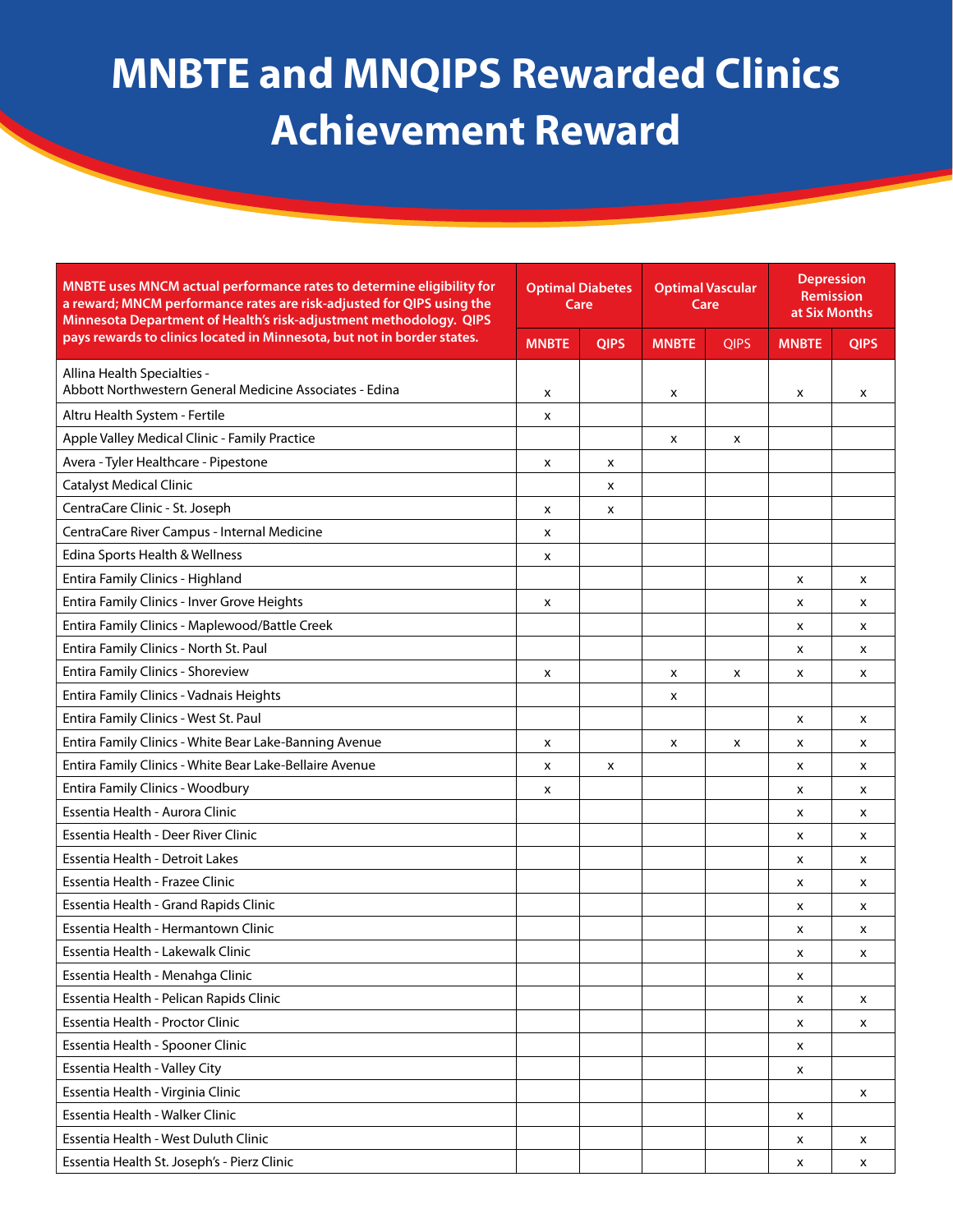| Minnesota Department of Health's risk-adjustment methodology. QIPS                      | <b>Optimal Diabetes</b><br>Care |             | <b>Optimal Vascular</b><br>Care |             |              |             |  |  |  |  |  |  |  |  | <b>Depression</b><br>Remission<br>at Six Months |  |
|-----------------------------------------------------------------------------------------|---------------------------------|-------------|---------------------------------|-------------|--------------|-------------|--|--|--|--|--|--|--|--|-------------------------------------------------|--|
| pays rewards to clinics located in Minnesota, but not in border states.<br><b>MNBTE</b> |                                 | <b>QIPS</b> | <b>MNBTE</b>                    | <b>QIPS</b> | <b>MNBTE</b> | <b>QIPS</b> |  |  |  |  |  |  |  |  |                                                 |  |
| Allina Health Specialties -                                                             |                                 |             |                                 |             |              |             |  |  |  |  |  |  |  |  |                                                 |  |
| Abbott Northwestern General Medicine Associates - Edina<br>x                            |                                 |             | X                               |             | X            | X           |  |  |  |  |  |  |  |  |                                                 |  |
| Altru Health System - Fertile<br>x                                                      |                                 |             |                                 |             |              |             |  |  |  |  |  |  |  |  |                                                 |  |
| Apple Valley Medical Clinic - Family Practice                                           |                                 |             | x                               | x           |              |             |  |  |  |  |  |  |  |  |                                                 |  |
| Avera - Tyler Healthcare - Pipestone<br>x                                               |                                 | x           |                                 |             |              |             |  |  |  |  |  |  |  |  |                                                 |  |
| <b>Catalyst Medical Clinic</b>                                                          |                                 | x           |                                 |             |              |             |  |  |  |  |  |  |  |  |                                                 |  |
| CentraCare Clinic - St. Joseph<br>X                                                     |                                 | x           |                                 |             |              |             |  |  |  |  |  |  |  |  |                                                 |  |
| CentraCare River Campus - Internal Medicine<br>x                                        |                                 |             |                                 |             |              |             |  |  |  |  |  |  |  |  |                                                 |  |
| Edina Sports Health & Wellness<br>x                                                     |                                 |             |                                 |             |              |             |  |  |  |  |  |  |  |  |                                                 |  |
| Entira Family Clinics - Highland                                                        |                                 |             |                                 |             | X            | x           |  |  |  |  |  |  |  |  |                                                 |  |
| Entira Family Clinics - Inver Grove Heights<br>X                                        |                                 |             |                                 |             | X            | x           |  |  |  |  |  |  |  |  |                                                 |  |
| Entira Family Clinics - Maplewood/Battle Creek                                          |                                 |             |                                 |             | X            | x           |  |  |  |  |  |  |  |  |                                                 |  |
| Entira Family Clinics - North St. Paul                                                  |                                 |             |                                 |             | x            | x           |  |  |  |  |  |  |  |  |                                                 |  |
| <b>Entira Family Clinics - Shoreview</b><br>x                                           |                                 |             | X                               | x           | x            | x           |  |  |  |  |  |  |  |  |                                                 |  |
| Entira Family Clinics - Vadnais Heights                                                 |                                 |             | X                               |             |              |             |  |  |  |  |  |  |  |  |                                                 |  |
| Entira Family Clinics - West St. Paul                                                   |                                 |             |                                 |             | X            | x           |  |  |  |  |  |  |  |  |                                                 |  |
| Entira Family Clinics - White Bear Lake-Banning Avenue<br>x                             |                                 |             | x                               | х           | x            | x           |  |  |  |  |  |  |  |  |                                                 |  |
| Entira Family Clinics - White Bear Lake-Bellaire Avenue<br>x                            |                                 | x           |                                 |             | X            | x           |  |  |  |  |  |  |  |  |                                                 |  |
| Entira Family Clinics - Woodbury<br>x                                                   |                                 |             |                                 |             | X            | x           |  |  |  |  |  |  |  |  |                                                 |  |
| Essentia Health - Aurora Clinic                                                         |                                 |             |                                 |             | X            | x           |  |  |  |  |  |  |  |  |                                                 |  |
| Essentia Health - Deer River Clinic                                                     |                                 |             |                                 |             | x            | x           |  |  |  |  |  |  |  |  |                                                 |  |
| Essentia Health - Detroit Lakes                                                         |                                 |             |                                 |             | X            | x           |  |  |  |  |  |  |  |  |                                                 |  |
| Essentia Health - Frazee Clinic                                                         |                                 |             |                                 |             | x            | x           |  |  |  |  |  |  |  |  |                                                 |  |
| Essentia Health - Grand Rapids Clinic                                                   |                                 |             |                                 |             | X            | x           |  |  |  |  |  |  |  |  |                                                 |  |
| Essentia Health - Hermantown Clinic                                                     |                                 |             |                                 |             | x            | x           |  |  |  |  |  |  |  |  |                                                 |  |
| Essentia Health - Lakewalk Clinic                                                       |                                 |             |                                 |             | x            | x           |  |  |  |  |  |  |  |  |                                                 |  |
| Essentia Health - Menahga Clinic                                                        |                                 |             |                                 |             | x            |             |  |  |  |  |  |  |  |  |                                                 |  |
| Essentia Health - Pelican Rapids Clinic                                                 |                                 |             |                                 |             | x            | x           |  |  |  |  |  |  |  |  |                                                 |  |
| Essentia Health - Proctor Clinic                                                        |                                 |             |                                 |             | X            | x           |  |  |  |  |  |  |  |  |                                                 |  |
| Essentia Health - Spooner Clinic                                                        |                                 |             |                                 |             | X            |             |  |  |  |  |  |  |  |  |                                                 |  |
| Essentia Health - Valley City                                                           |                                 |             |                                 |             | x            |             |  |  |  |  |  |  |  |  |                                                 |  |
| Essentia Health - Virginia Clinic                                                       |                                 |             |                                 |             |              | x           |  |  |  |  |  |  |  |  |                                                 |  |
| Essentia Health - Walker Clinic                                                         |                                 |             |                                 |             | X            |             |  |  |  |  |  |  |  |  |                                                 |  |
| Essentia Health - West Duluth Clinic                                                    |                                 |             |                                 |             | X            | x           |  |  |  |  |  |  |  |  |                                                 |  |
| Essentia Health St. Joseph's - Pierz Clinic                                             |                                 |             |                                 |             | X            | x           |  |  |  |  |  |  |  |  |                                                 |  |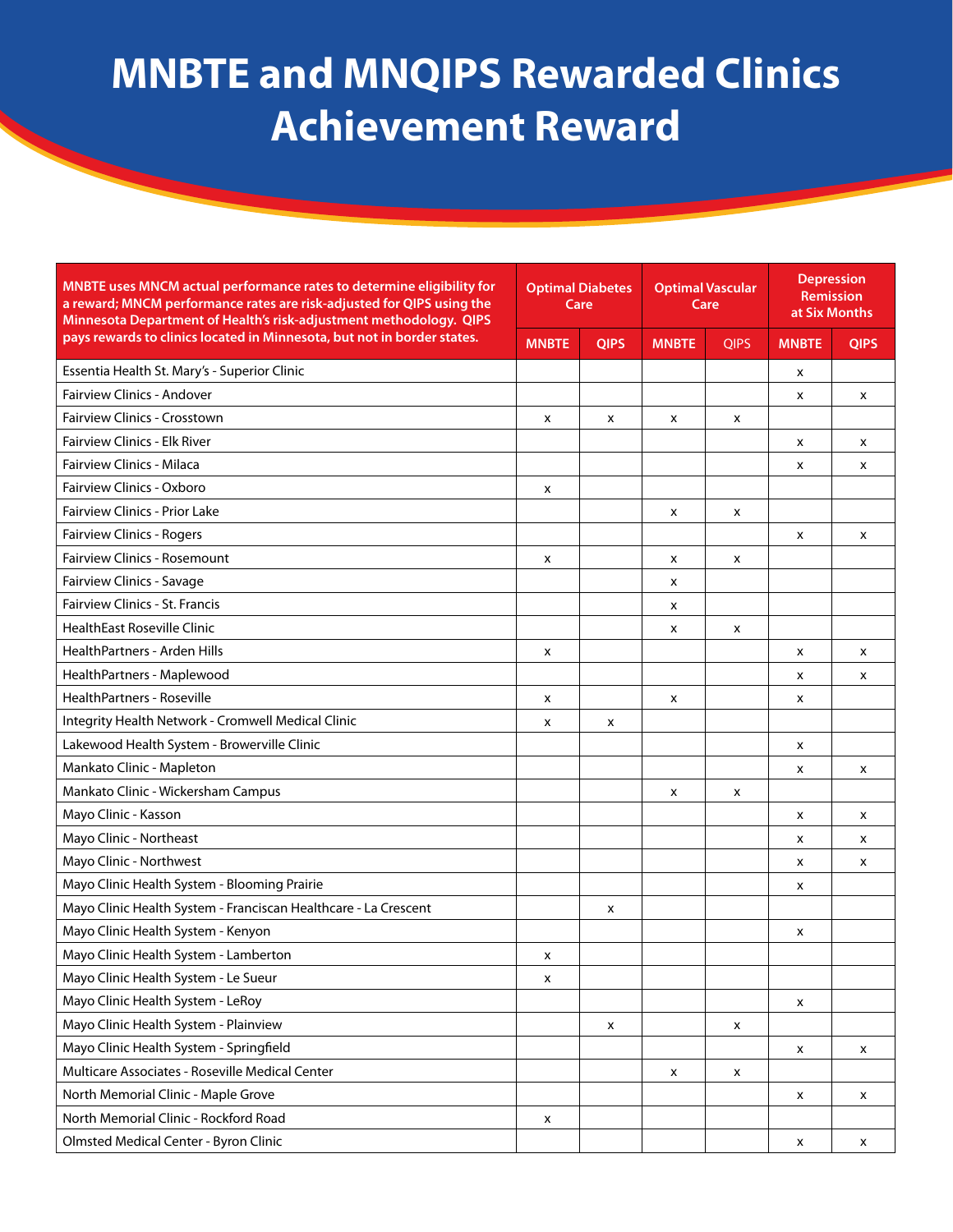| MNBTE uses MNCM actual performance rates to determine eligibility for<br>a reward; MNCM performance rates are risk-adjusted for QIPS using the<br>Minnesota Department of Health's risk-adjustment methodology. QIPS | <b>Optimal Diabetes</b><br>Care |             |              |             | <b>Optimal Vascular</b><br>Care |             | <b>Depression</b><br>Remission<br>at Six Months |  |
|----------------------------------------------------------------------------------------------------------------------------------------------------------------------------------------------------------------------|---------------------------------|-------------|--------------|-------------|---------------------------------|-------------|-------------------------------------------------|--|
| pays rewards to clinics located in Minnesota, but not in border states.                                                                                                                                              | <b>MNBTE</b>                    | <b>QIPS</b> | <b>MNBTE</b> | <b>QIPS</b> | <b>MNBTE</b>                    | <b>QIPS</b> |                                                 |  |
| Essentia Health St. Mary's - Superior Clinic                                                                                                                                                                         |                                 |             |              |             | x                               |             |                                                 |  |
| <b>Fairview Clinics - Andover</b>                                                                                                                                                                                    |                                 |             |              |             | x                               | x           |                                                 |  |
| <b>Fairview Clinics - Crosstown</b>                                                                                                                                                                                  | x                               | x           | x            | x           |                                 |             |                                                 |  |
| <b>Fairview Clinics - Elk River</b>                                                                                                                                                                                  |                                 |             |              |             | x                               | x           |                                                 |  |
| <b>Fairview Clinics - Milaca</b>                                                                                                                                                                                     |                                 |             |              |             | x                               | X           |                                                 |  |
| Fairview Clinics - Oxboro                                                                                                                                                                                            | x                               |             |              |             |                                 |             |                                                 |  |
| <b>Fairview Clinics - Prior Lake</b>                                                                                                                                                                                 |                                 |             | x            | x           |                                 |             |                                                 |  |
| Fairview Clinics - Rogers                                                                                                                                                                                            |                                 |             |              |             | x                               | x           |                                                 |  |
| <b>Fairview Clinics - Rosemount</b>                                                                                                                                                                                  | x                               |             | x            | x           |                                 |             |                                                 |  |
| Fairview Clinics - Savage                                                                                                                                                                                            |                                 |             | x            |             |                                 |             |                                                 |  |
| Fairview Clinics - St. Francis                                                                                                                                                                                       |                                 |             | x            |             |                                 |             |                                                 |  |
| <b>HealthEast Roseville Clinic</b>                                                                                                                                                                                   |                                 |             | x            | x           |                                 |             |                                                 |  |
| <b>HealthPartners - Arden Hills</b>                                                                                                                                                                                  | x                               |             |              |             | x                               | x           |                                                 |  |
| HealthPartners - Maplewood                                                                                                                                                                                           |                                 |             |              |             | x                               | x           |                                                 |  |
| HealthPartners - Roseville                                                                                                                                                                                           | x                               |             | x            |             | x                               |             |                                                 |  |
| Integrity Health Network - Cromwell Medical Clinic                                                                                                                                                                   | x                               | x           |              |             |                                 |             |                                                 |  |
| Lakewood Health System - Browerville Clinic                                                                                                                                                                          |                                 |             |              |             | x                               |             |                                                 |  |
| Mankato Clinic - Mapleton                                                                                                                                                                                            |                                 |             |              |             | x                               | x           |                                                 |  |
| Mankato Clinic - Wickersham Campus                                                                                                                                                                                   |                                 |             | x            | x           |                                 |             |                                                 |  |
| Mayo Clinic - Kasson                                                                                                                                                                                                 |                                 |             |              |             | x                               | x           |                                                 |  |
| Mayo Clinic - Northeast                                                                                                                                                                                              |                                 |             |              |             | x                               | x           |                                                 |  |
| Mayo Clinic - Northwest                                                                                                                                                                                              |                                 |             |              |             | x                               | x           |                                                 |  |
| Mayo Clinic Health System - Blooming Prairie                                                                                                                                                                         |                                 |             |              |             | x                               |             |                                                 |  |
| Mayo Clinic Health System - Franciscan Healthcare - La Crescent                                                                                                                                                      |                                 | x           |              |             |                                 |             |                                                 |  |
| Mayo Clinic Health System - Kenyon                                                                                                                                                                                   |                                 |             |              |             | x                               |             |                                                 |  |
| Mayo Clinic Health System - Lamberton                                                                                                                                                                                | x                               |             |              |             |                                 |             |                                                 |  |
| Mayo Clinic Health System - Le Sueur                                                                                                                                                                                 | X                               |             |              |             |                                 |             |                                                 |  |
| Mayo Clinic Health System - LeRoy                                                                                                                                                                                    |                                 |             |              |             | X                               |             |                                                 |  |
| Mayo Clinic Health System - Plainview                                                                                                                                                                                |                                 | X           |              | X           |                                 |             |                                                 |  |
| Mayo Clinic Health System - Springfield                                                                                                                                                                              |                                 |             |              |             | X                               | x           |                                                 |  |
| Multicare Associates - Roseville Medical Center                                                                                                                                                                      |                                 |             | x            | X           |                                 |             |                                                 |  |
| North Memorial Clinic - Maple Grove                                                                                                                                                                                  |                                 |             |              |             | X                               | x           |                                                 |  |
| North Memorial Clinic - Rockford Road                                                                                                                                                                                | x                               |             |              |             |                                 |             |                                                 |  |
| Olmsted Medical Center - Byron Clinic                                                                                                                                                                                |                                 |             |              |             | x                               | x           |                                                 |  |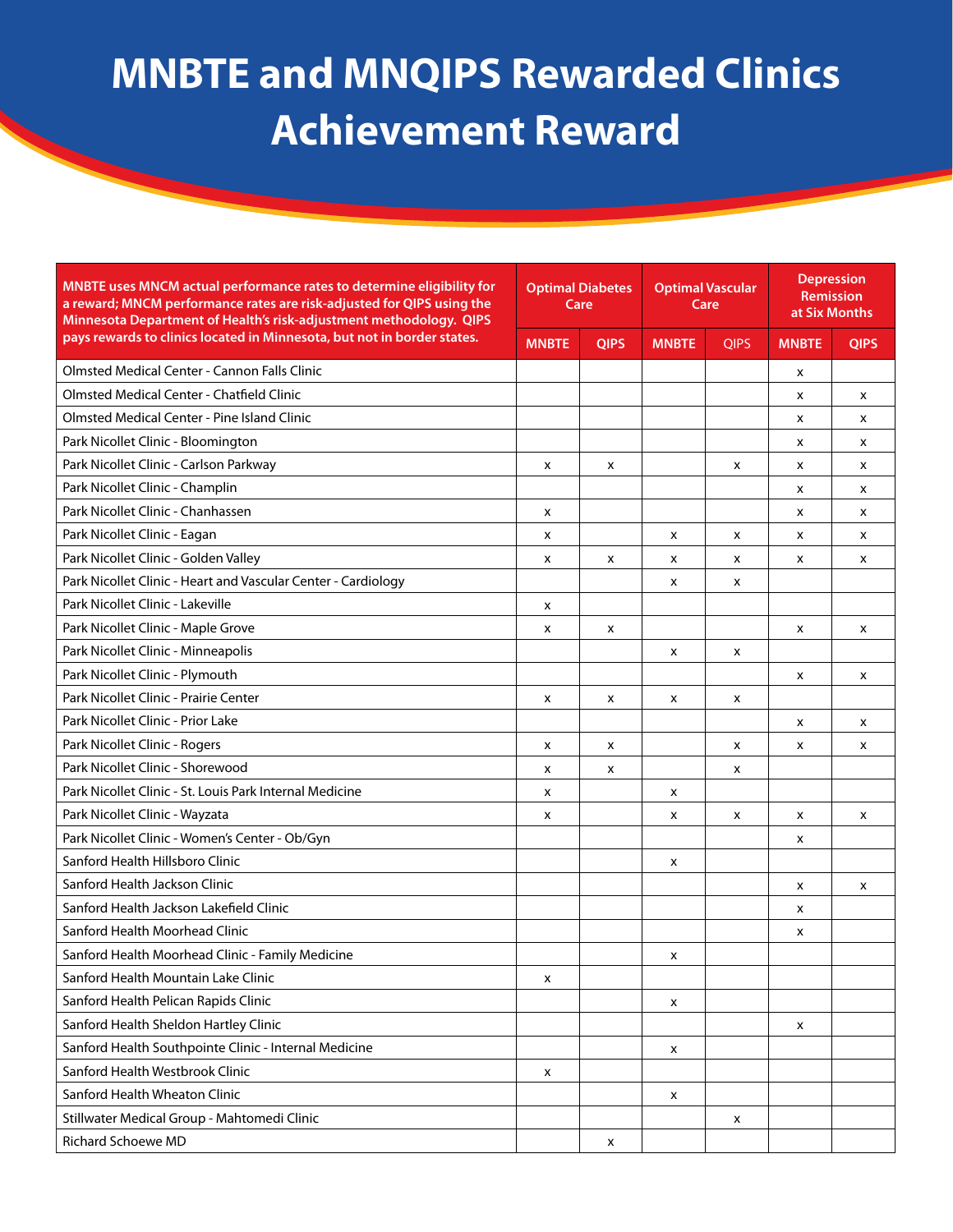| MNBTE uses MNCM actual performance rates to determine eligibility for<br>a reward; MNCM performance rates are risk-adjusted for QIPS using the<br>Minnesota Department of Health's risk-adjustment methodology. QIPS | <b>Optimal Diabetes</b><br>Care |             | <b>Optimal Vascular</b><br>Care |             | <b>Depression</b><br><b>Remission</b><br>at Six Months |             |
|----------------------------------------------------------------------------------------------------------------------------------------------------------------------------------------------------------------------|---------------------------------|-------------|---------------------------------|-------------|--------------------------------------------------------|-------------|
| pays rewards to clinics located in Minnesota, but not in border states.                                                                                                                                              | <b>MNBTE</b>                    | <b>QIPS</b> | <b>MNBTE</b>                    | <b>QIPS</b> | <b>MNBTE</b>                                           | <b>QIPS</b> |
| <b>Olmsted Medical Center - Cannon Falls Clinic</b>                                                                                                                                                                  |                                 |             |                                 |             | x                                                      |             |
| <b>Olmsted Medical Center - Chatfield Clinic</b>                                                                                                                                                                     |                                 |             |                                 |             | x                                                      | x           |
| <b>Olmsted Medical Center - Pine Island Clinic</b>                                                                                                                                                                   |                                 |             |                                 |             | x                                                      | x           |
| Park Nicollet Clinic - Bloomington                                                                                                                                                                                   |                                 |             |                                 |             | x                                                      | x           |
| Park Nicollet Clinic - Carlson Parkway                                                                                                                                                                               | X                               | X           |                                 | x           | x                                                      | X           |
| Park Nicollet Clinic - Champlin                                                                                                                                                                                      |                                 |             |                                 |             | x                                                      | x           |
| Park Nicollet Clinic - Chanhassen                                                                                                                                                                                    | x                               |             |                                 |             | x                                                      | X           |
| Park Nicollet Clinic - Eagan                                                                                                                                                                                         | x                               |             | x                               | x           | x                                                      | x           |
| Park Nicollet Clinic - Golden Valley                                                                                                                                                                                 | X                               | X           | x                               | X           | x                                                      | X           |
| Park Nicollet Clinic - Heart and Vascular Center - Cardiology                                                                                                                                                        |                                 |             | x                               | x           |                                                        |             |
| Park Nicollet Clinic - Lakeville                                                                                                                                                                                     | x                               |             |                                 |             |                                                        |             |
| Park Nicollet Clinic - Maple Grove                                                                                                                                                                                   | x                               | x           |                                 |             | x                                                      | X           |
| Park Nicollet Clinic - Minneapolis                                                                                                                                                                                   |                                 |             | X                               | x           |                                                        |             |
| Park Nicollet Clinic - Plymouth                                                                                                                                                                                      |                                 |             |                                 |             | x                                                      | X           |
| Park Nicollet Clinic - Prairie Center                                                                                                                                                                                | x                               | X           | x                               | x           |                                                        |             |
| Park Nicollet Clinic - Prior Lake                                                                                                                                                                                    |                                 |             |                                 |             | x                                                      | X           |
| Park Nicollet Clinic - Rogers                                                                                                                                                                                        | x                               | X           |                                 | X           | x                                                      | x           |
| Park Nicollet Clinic - Shorewood                                                                                                                                                                                     | x                               | X           |                                 | x           |                                                        |             |
| Park Nicollet Clinic - St. Louis Park Internal Medicine                                                                                                                                                              | x                               |             | x                               |             |                                                        |             |
| Park Nicollet Clinic - Wayzata                                                                                                                                                                                       | x                               |             | x                               | x           | x                                                      | x           |
| Park Nicollet Clinic - Women's Center - Ob/Gyn                                                                                                                                                                       |                                 |             |                                 |             | x                                                      |             |
| Sanford Health Hillsboro Clinic                                                                                                                                                                                      |                                 |             | x                               |             |                                                        |             |
| Sanford Health Jackson Clinic                                                                                                                                                                                        |                                 |             |                                 |             | x                                                      | X           |
| Sanford Health Jackson Lakefield Clinic                                                                                                                                                                              |                                 |             |                                 |             | x                                                      |             |
| Sanford Health Moorhead Clinic                                                                                                                                                                                       |                                 |             |                                 |             | x                                                      |             |
| Sanford Health Moorhead Clinic - Family Medicine                                                                                                                                                                     |                                 |             | x                               |             |                                                        |             |
| Sanford Health Mountain Lake Clinic                                                                                                                                                                                  | x                               |             |                                 |             |                                                        |             |
| Sanford Health Pelican Rapids Clinic                                                                                                                                                                                 |                                 |             | x                               |             |                                                        |             |
| Sanford Health Sheldon Hartley Clinic                                                                                                                                                                                |                                 |             |                                 |             | x                                                      |             |
| Sanford Health Southpointe Clinic - Internal Medicine                                                                                                                                                                |                                 |             | x                               |             |                                                        |             |
| Sanford Health Westbrook Clinic                                                                                                                                                                                      | x                               |             |                                 |             |                                                        |             |
| Sanford Health Wheaton Clinic                                                                                                                                                                                        |                                 |             | x                               |             |                                                        |             |
| Stillwater Medical Group - Mahtomedi Clinic                                                                                                                                                                          |                                 |             |                                 | х           |                                                        |             |
| Richard Schoewe MD                                                                                                                                                                                                   |                                 | x           |                                 |             |                                                        |             |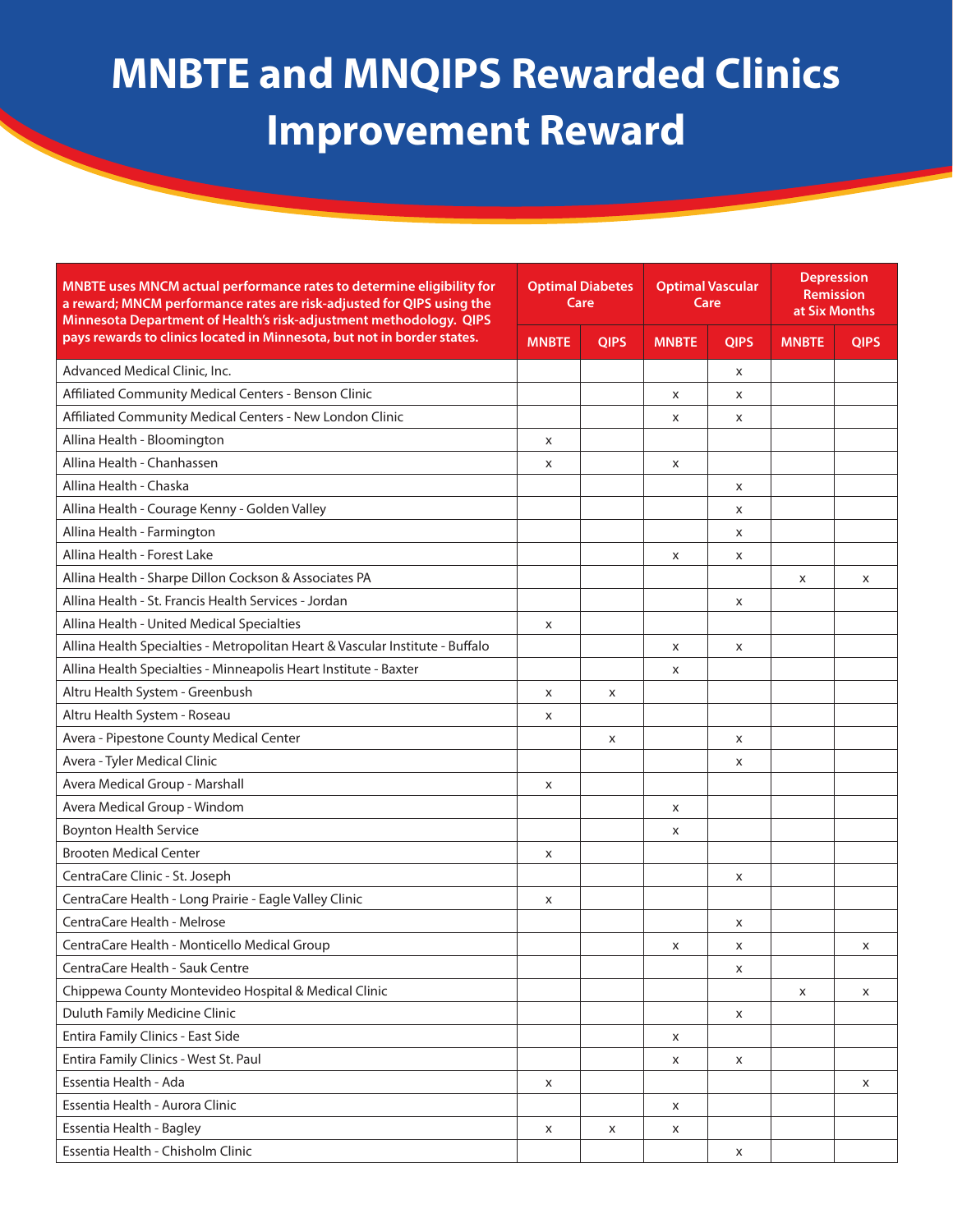| MNBTE uses MNCM actual performance rates to determine eligibility for<br>a reward; MNCM performance rates are risk-adjusted for QIPS using the<br>Minnesota Department of Health's risk-adjustment methodology. QIPS | <b>Optimal Diabetes</b><br>Care |             |              | <b>Optimal Vascular</b><br>Care |              | <b>Depression</b><br><b>Remission</b><br>at Six Months |
|----------------------------------------------------------------------------------------------------------------------------------------------------------------------------------------------------------------------|---------------------------------|-------------|--------------|---------------------------------|--------------|--------------------------------------------------------|
| pays rewards to clinics located in Minnesota, but not in border states.                                                                                                                                              | <b>MNBTE</b>                    | <b>QIPS</b> | <b>MNBTE</b> | <b>QIPS</b>                     | <b>MNBTE</b> | <b>QIPS</b>                                            |
| Advanced Medical Clinic, Inc.                                                                                                                                                                                        |                                 |             |              | X                               |              |                                                        |
| Affiliated Community Medical Centers - Benson Clinic                                                                                                                                                                 |                                 |             | x            | X                               |              |                                                        |
| Affiliated Community Medical Centers - New London Clinic                                                                                                                                                             |                                 |             | x            | x                               |              |                                                        |
| Allina Health - Bloomington                                                                                                                                                                                          | X                               |             |              |                                 |              |                                                        |
| Allina Health - Chanhassen                                                                                                                                                                                           | X                               |             | X            |                                 |              |                                                        |
| Allina Health - Chaska                                                                                                                                                                                               |                                 |             |              | X                               |              |                                                        |
| Allina Health - Courage Kenny - Golden Valley                                                                                                                                                                        |                                 |             |              | X                               |              |                                                        |
| Allina Health - Farmington                                                                                                                                                                                           |                                 |             |              | X                               |              |                                                        |
| Allina Health - Forest Lake                                                                                                                                                                                          |                                 |             | X            | X                               |              |                                                        |
| Allina Health - Sharpe Dillon Cockson & Associates PA                                                                                                                                                                |                                 |             |              |                                 | X            | X                                                      |
| Allina Health - St. Francis Health Services - Jordan                                                                                                                                                                 |                                 |             |              | х                               |              |                                                        |
| Allina Health - United Medical Specialties                                                                                                                                                                           | X                               |             |              |                                 |              |                                                        |
| Allina Health Specialties - Metropolitan Heart & Vascular Institute - Buffalo                                                                                                                                        |                                 |             | x            | X                               |              |                                                        |
| Allina Health Specialties - Minneapolis Heart Institute - Baxter                                                                                                                                                     |                                 |             | x            |                                 |              |                                                        |
| Altru Health System - Greenbush                                                                                                                                                                                      | x                               | X           |              |                                 |              |                                                        |
| Altru Health System - Roseau                                                                                                                                                                                         | x                               |             |              |                                 |              |                                                        |
| Avera - Pipestone County Medical Center                                                                                                                                                                              |                                 | X           |              | X                               |              |                                                        |
| Avera - Tyler Medical Clinic                                                                                                                                                                                         |                                 |             |              | X                               |              |                                                        |
| Avera Medical Group - Marshall                                                                                                                                                                                       | X                               |             |              |                                 |              |                                                        |
| Avera Medical Group - Windom                                                                                                                                                                                         |                                 |             | x            |                                 |              |                                                        |
| <b>Boynton Health Service</b>                                                                                                                                                                                        |                                 |             | x            |                                 |              |                                                        |
| <b>Brooten Medical Center</b>                                                                                                                                                                                        | x                               |             |              |                                 |              |                                                        |
| CentraCare Clinic - St. Joseph                                                                                                                                                                                       |                                 |             |              | X                               |              |                                                        |
| CentraCare Health - Long Prairie - Eagle Valley Clinic                                                                                                                                                               | x                               |             |              |                                 |              |                                                        |
| CentraCare Health - Melrose                                                                                                                                                                                          |                                 |             |              | X                               |              |                                                        |
| CentraCare Health - Monticello Medical Group                                                                                                                                                                         |                                 |             | x            | X                               |              | X                                                      |
| CentraCare Health - Sauk Centre                                                                                                                                                                                      |                                 |             |              | X                               |              |                                                        |
| Chippewa County Montevideo Hospital & Medical Clinic                                                                                                                                                                 |                                 |             |              |                                 | x            | X                                                      |
| Duluth Family Medicine Clinic                                                                                                                                                                                        |                                 |             |              | X                               |              |                                                        |
| Entira Family Clinics - East Side                                                                                                                                                                                    |                                 |             | X            |                                 |              |                                                        |
| Entira Family Clinics - West St. Paul                                                                                                                                                                                |                                 |             | X            | X                               |              |                                                        |
| Essentia Health - Ada                                                                                                                                                                                                | X                               |             |              |                                 |              | X                                                      |
| Essentia Health - Aurora Clinic                                                                                                                                                                                      |                                 |             | X            |                                 |              |                                                        |
| Essentia Health - Bagley                                                                                                                                                                                             | X                               | X           | x            |                                 |              |                                                        |
| Essentia Health - Chisholm Clinic                                                                                                                                                                                    |                                 |             |              | X                               |              |                                                        |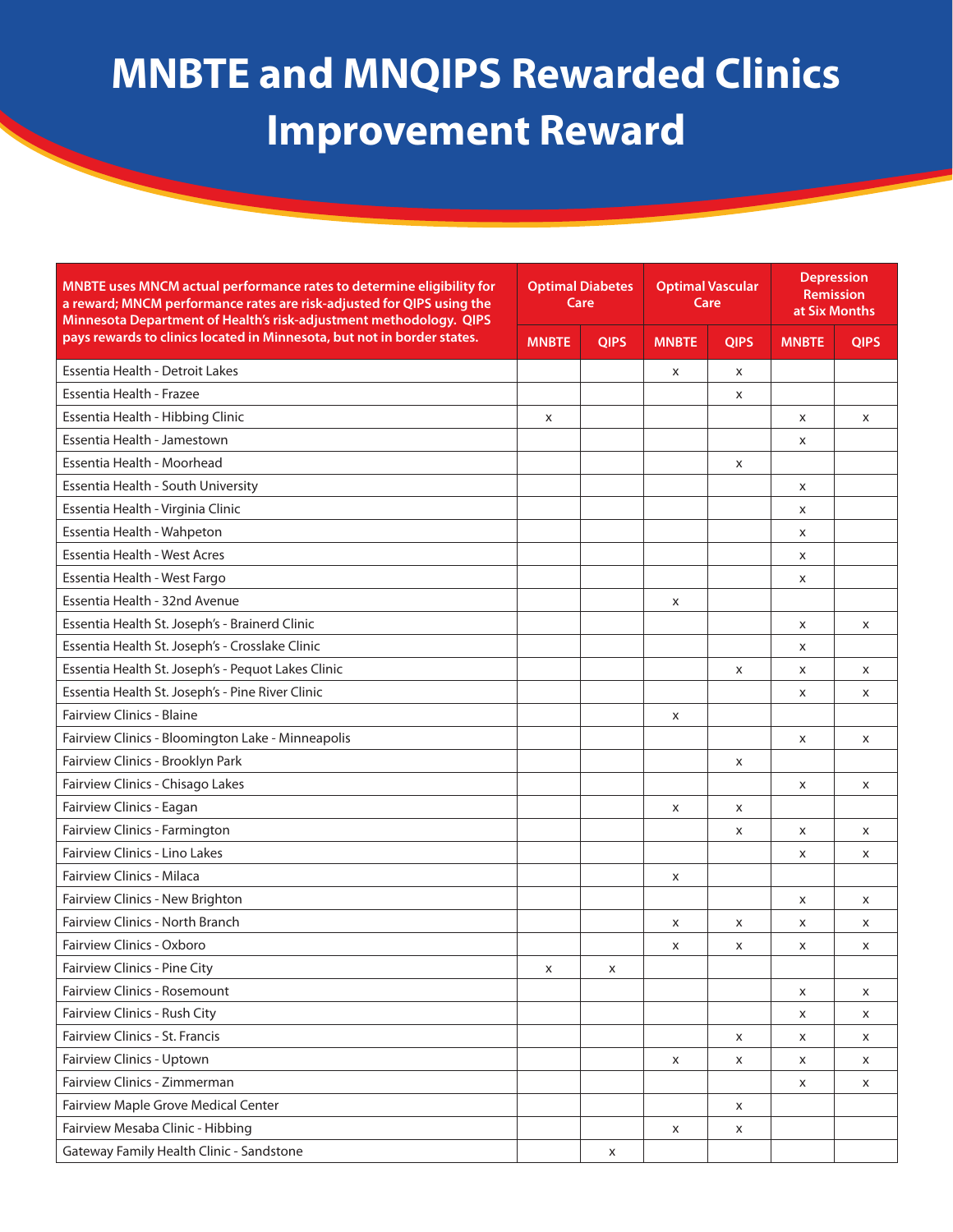| MNBTE uses MNCM actual performance rates to determine eligibility for<br>a reward; MNCM performance rates are risk-adjusted for QIPS using the<br>Minnesota Department of Health's risk-adjustment methodology. QIPS | <b>Optimal Diabetes</b><br>Care |             | <b>Optimal Vascular</b><br>Care |             | <b>Depression</b><br><b>Remission</b><br>at Six Months |             |
|----------------------------------------------------------------------------------------------------------------------------------------------------------------------------------------------------------------------|---------------------------------|-------------|---------------------------------|-------------|--------------------------------------------------------|-------------|
| pays rewards to clinics located in Minnesota, but not in border states.                                                                                                                                              | <b>MNBTE</b>                    | <b>QIPS</b> | <b>MNBTE</b>                    | <b>QIPS</b> | <b>MNBTE</b>                                           | <b>QIPS</b> |
| Essentia Health - Detroit Lakes                                                                                                                                                                                      |                                 |             | X                               | X           |                                                        |             |
| Essentia Health - Frazee                                                                                                                                                                                             |                                 |             |                                 | X           |                                                        |             |
| Essentia Health - Hibbing Clinic                                                                                                                                                                                     | X                               |             |                                 |             | X                                                      | X           |
| Essentia Health - Jamestown                                                                                                                                                                                          |                                 |             |                                 |             | X                                                      |             |
| Essentia Health - Moorhead                                                                                                                                                                                           |                                 |             |                                 | X           |                                                        |             |
| Essentia Health - South University                                                                                                                                                                                   |                                 |             |                                 |             | X                                                      |             |
| Essentia Health - Virginia Clinic                                                                                                                                                                                    |                                 |             |                                 |             | X                                                      |             |
| Essentia Health - Wahpeton                                                                                                                                                                                           |                                 |             |                                 |             | X                                                      |             |
| <b>Essentia Health - West Acres</b>                                                                                                                                                                                  |                                 |             |                                 |             | X                                                      |             |
| Essentia Health - West Fargo                                                                                                                                                                                         |                                 |             |                                 |             | X                                                      |             |
| Essentia Health - 32nd Avenue                                                                                                                                                                                        |                                 |             | X                               |             |                                                        |             |
| Essentia Health St. Joseph's - Brainerd Clinic                                                                                                                                                                       |                                 |             |                                 |             | X                                                      | X           |
| Essentia Health St. Joseph's - Crosslake Clinic                                                                                                                                                                      |                                 |             |                                 |             | X                                                      |             |
| Essentia Health St. Joseph's - Pequot Lakes Clinic                                                                                                                                                                   |                                 |             |                                 | X           | X                                                      | X           |
| Essentia Health St. Joseph's - Pine River Clinic                                                                                                                                                                     |                                 |             |                                 |             | x                                                      | X           |
| <b>Fairview Clinics - Blaine</b>                                                                                                                                                                                     |                                 |             | X                               |             |                                                        |             |
| Fairview Clinics - Bloomington Lake - Minneapolis                                                                                                                                                                    |                                 |             |                                 |             | X                                                      | X           |
| Fairview Clinics - Brooklyn Park                                                                                                                                                                                     |                                 |             |                                 | X           |                                                        |             |
| Fairview Clinics - Chisago Lakes                                                                                                                                                                                     |                                 |             |                                 |             | X                                                      | X           |
| Fairview Clinics - Eagan                                                                                                                                                                                             |                                 |             | X                               | X           |                                                        |             |
| Fairview Clinics - Farmington                                                                                                                                                                                        |                                 |             |                                 | X           | X                                                      | X           |
| <b>Fairview Clinics - Lino Lakes</b>                                                                                                                                                                                 |                                 |             |                                 |             | X                                                      | X           |
| Fairview Clinics - Milaca                                                                                                                                                                                            |                                 |             | X                               |             |                                                        |             |
| Fairview Clinics - New Brighton                                                                                                                                                                                      |                                 |             |                                 |             | X                                                      | X           |
| <b>Fairview Clinics - North Branch</b>                                                                                                                                                                               |                                 |             | X                               | X           | X                                                      | X           |
| Fairview Clinics - Oxboro                                                                                                                                                                                            |                                 |             | X                               | X           | X                                                      | X           |
| Fairview Clinics - Pine City                                                                                                                                                                                         | X                               | x           |                                 |             |                                                        |             |
| Fairview Clinics - Rosemount                                                                                                                                                                                         |                                 |             |                                 |             | X                                                      | X           |
| Fairview Clinics - Rush City                                                                                                                                                                                         |                                 |             |                                 |             | x                                                      | X           |
| Fairview Clinics - St. Francis                                                                                                                                                                                       |                                 |             |                                 | X           | X                                                      | x           |
| Fairview Clinics - Uptown                                                                                                                                                                                            |                                 |             | X                               | x           | x                                                      | X           |
| Fairview Clinics - Zimmerman                                                                                                                                                                                         |                                 |             |                                 |             | X                                                      | X           |
| Fairview Maple Grove Medical Center                                                                                                                                                                                  |                                 |             |                                 | X           |                                                        |             |
| Fairview Mesaba Clinic - Hibbing                                                                                                                                                                                     |                                 |             | X                               | x           |                                                        |             |
| Gateway Family Health Clinic - Sandstone                                                                                                                                                                             |                                 | x           |                                 |             |                                                        |             |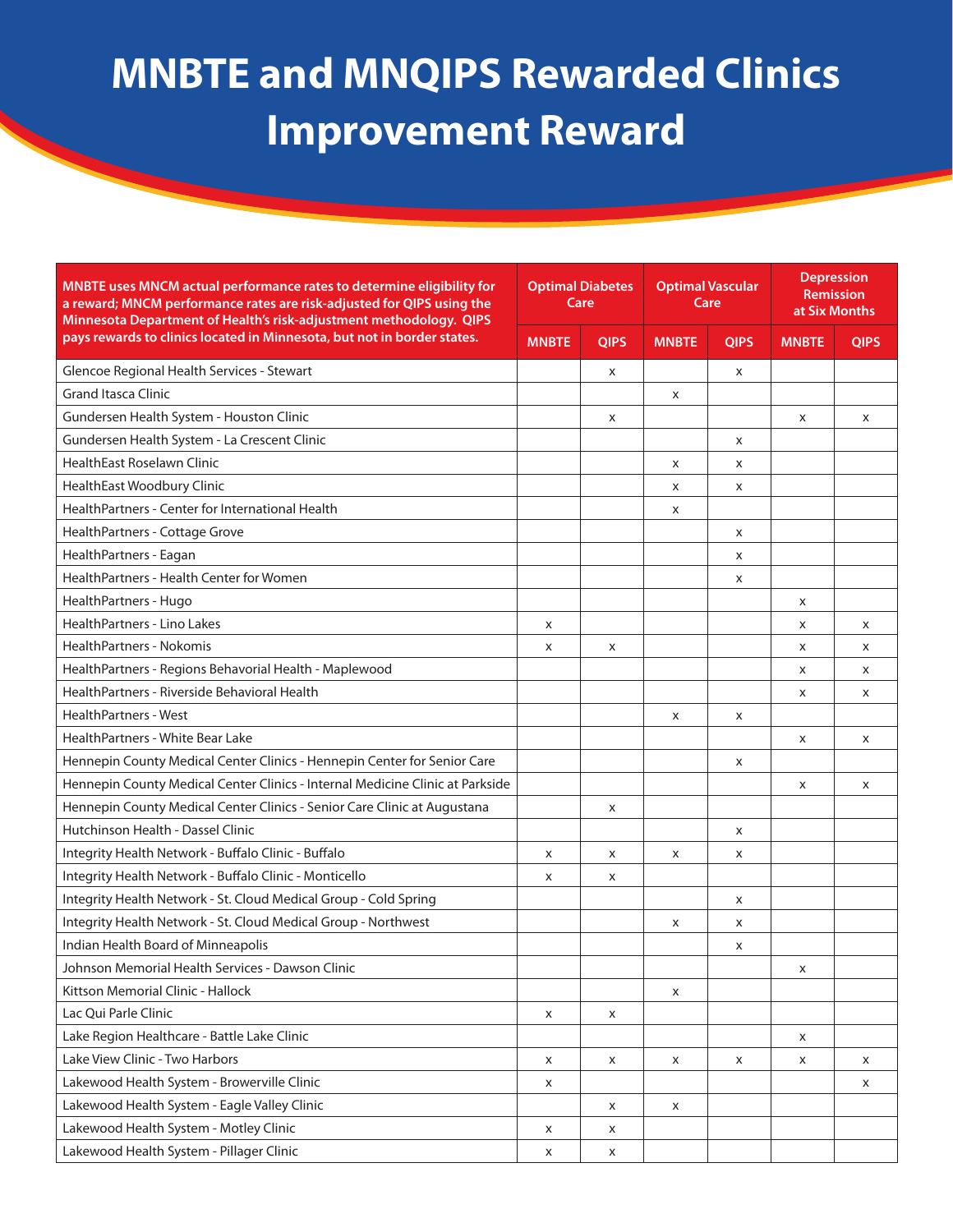#### **MNBTE and MNQIPS Rewarded Clinics Improvement Reward MNBTE and MNQIPS Rewarded Clinics Improvement Reward**

| MNBTE uses MNCM actual performance rates to determine eligibility for<br>a reward; MNCM performance rates are risk-adjusted for QIPS using the<br>Minnesota Department of Health's risk-adjustment methodology. QIPS | <b>Optimal Diabetes</b><br>Care |             | <b>Optimal Vascular</b><br>Care |             | <b>Depression</b><br><b>Remission</b><br>at Six Months |             |
|----------------------------------------------------------------------------------------------------------------------------------------------------------------------------------------------------------------------|---------------------------------|-------------|---------------------------------|-------------|--------------------------------------------------------|-------------|
| pays rewards to clinics located in Minnesota, but not in border states.                                                                                                                                              | <b>MNBTE</b>                    | <b>OIPS</b> | <b>MNBTE</b>                    | <b>QIPS</b> | <b>MNBTE</b>                                           | <b>OIPS</b> |
| Glencoe Regional Health Services - Stewart                                                                                                                                                                           |                                 | X           |                                 | X           |                                                        |             |
| <b>Grand Itasca Clinic</b>                                                                                                                                                                                           |                                 |             | X                               |             |                                                        |             |
| Gundersen Health System - Houston Clinic                                                                                                                                                                             |                                 | X           |                                 |             | X                                                      | X           |
| Gundersen Health System - La Crescent Clinic                                                                                                                                                                         |                                 |             |                                 | X           |                                                        |             |
| <b>HealthEast Roselawn Clinic</b>                                                                                                                                                                                    |                                 |             | x                               | X           |                                                        |             |
| HealthEast Woodbury Clinic                                                                                                                                                                                           |                                 |             | X                               | X           |                                                        |             |
| HealthPartners - Center for International Health                                                                                                                                                                     |                                 |             | X                               |             |                                                        |             |
| HealthPartners - Cottage Grove                                                                                                                                                                                       |                                 |             |                                 | X           |                                                        |             |
| HealthPartners - Eagan                                                                                                                                                                                               |                                 |             |                                 | X           |                                                        |             |
| HealthPartners - Health Center for Women                                                                                                                                                                             |                                 |             |                                 | X           |                                                        |             |
| HealthPartners - Hugo                                                                                                                                                                                                |                                 |             |                                 |             | X                                                      |             |
| HealthPartners - Lino Lakes                                                                                                                                                                                          | x                               |             |                                 |             | x                                                      | X           |
| <b>HealthPartners - Nokomis</b>                                                                                                                                                                                      | X                               | X           |                                 |             | X                                                      | X           |
| HealthPartners - Regions Behavorial Health - Maplewood                                                                                                                                                               |                                 |             |                                 |             | X                                                      | X           |
| HealthPartners - Riverside Behavioral Health                                                                                                                                                                         |                                 |             |                                 |             | x                                                      | X           |
| <b>HealthPartners - West</b>                                                                                                                                                                                         |                                 |             | X                               | X           |                                                        |             |
| HealthPartners - White Bear Lake                                                                                                                                                                                     |                                 |             |                                 |             | X                                                      | X           |
| Hennepin County Medical Center Clinics - Hennepin Center for Senior Care                                                                                                                                             |                                 |             |                                 | X           |                                                        |             |
| Hennepin County Medical Center Clinics - Internal Medicine Clinic at Parkside                                                                                                                                        |                                 |             |                                 |             | X                                                      | X           |
| Hennepin County Medical Center Clinics - Senior Care Clinic at Augustana                                                                                                                                             |                                 | X           |                                 |             |                                                        |             |
| Hutchinson Health - Dassel Clinic                                                                                                                                                                                    |                                 |             |                                 | X           |                                                        |             |
| Integrity Health Network - Buffalo Clinic - Buffalo                                                                                                                                                                  | x                               | x           | X                               | X           |                                                        |             |
| Integrity Health Network - Buffalo Clinic - Monticello                                                                                                                                                               | x                               | X           |                                 |             |                                                        |             |
| Integrity Health Network - St. Cloud Medical Group - Cold Spring                                                                                                                                                     |                                 |             |                                 | X           |                                                        |             |
| Integrity Health Network - St. Cloud Medical Group - Northwest                                                                                                                                                       |                                 |             | X                               | X           |                                                        |             |
| Indian Health Board of Minneapolis                                                                                                                                                                                   |                                 |             |                                 | X           |                                                        |             |
| Johnson Memorial Health Services - Dawson Clinic                                                                                                                                                                     |                                 |             |                                 |             | X                                                      |             |
| Kittson Memorial Clinic - Hallock                                                                                                                                                                                    |                                 |             | x                               |             |                                                        |             |
| Lac Qui Parle Clinic                                                                                                                                                                                                 | x                               | X           |                                 |             |                                                        |             |
| Lake Region Healthcare - Battle Lake Clinic                                                                                                                                                                          |                                 |             |                                 |             | X                                                      |             |
| Lake View Clinic - Two Harbors                                                                                                                                                                                       | X                               | X           | X                               | Х           | x                                                      | x           |
| Lakewood Health System - Browerville Clinic                                                                                                                                                                          | X                               |             |                                 |             |                                                        | X           |
| Lakewood Health System - Eagle Valley Clinic                                                                                                                                                                         |                                 | X           | X                               |             |                                                        |             |
| Lakewood Health System - Motley Clinic                                                                                                                                                                               | x                               | X           |                                 |             |                                                        |             |
| Lakewood Health System - Pillager Clinic                                                                                                                                                                             | X                               | X           |                                 |             |                                                        |             |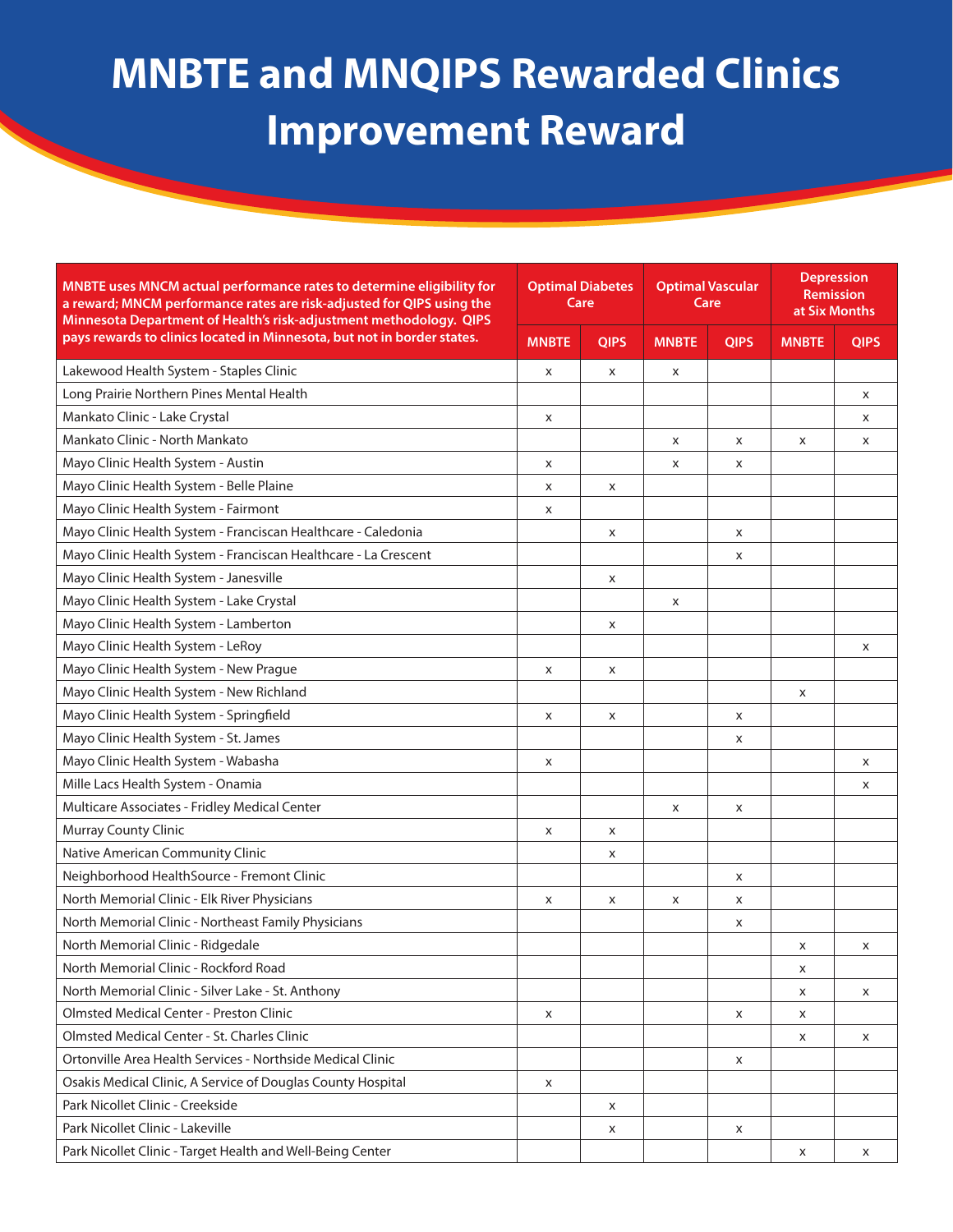| MNBTE uses MNCM actual performance rates to determine eligibility for<br>a reward; MNCM performance rates are risk-adjusted for QIPS using the<br>Minnesota Department of Health's risk-adjustment methodology. QIPS | <b>Optimal Diabetes</b><br>Care |             | <b>Optimal Vascular</b><br>Care |             | <b>Depression</b><br><b>Remission</b><br>at Six Months |             |
|----------------------------------------------------------------------------------------------------------------------------------------------------------------------------------------------------------------------|---------------------------------|-------------|---------------------------------|-------------|--------------------------------------------------------|-------------|
| pays rewards to clinics located in Minnesota, but not in border states.                                                                                                                                              | <b>MNBTE</b>                    | <b>QIPS</b> | <b>MNBTE</b>                    | <b>QIPS</b> | <b>MNBTE</b>                                           | <b>QIPS</b> |
| Lakewood Health System - Staples Clinic                                                                                                                                                                              | X                               | X           | x                               |             |                                                        |             |
| Long Prairie Northern Pines Mental Health                                                                                                                                                                            |                                 |             |                                 |             |                                                        | X           |
| Mankato Clinic - Lake Crystal                                                                                                                                                                                        | X                               |             |                                 |             |                                                        | X           |
| Mankato Clinic - North Mankato                                                                                                                                                                                       |                                 |             | x                               | X           | X                                                      | X           |
| Mayo Clinic Health System - Austin                                                                                                                                                                                   | X                               |             | x                               | X           |                                                        |             |
| Mayo Clinic Health System - Belle Plaine                                                                                                                                                                             | X                               | X           |                                 |             |                                                        |             |
| Mayo Clinic Health System - Fairmont                                                                                                                                                                                 | x                               |             |                                 |             |                                                        |             |
| Mayo Clinic Health System - Franciscan Healthcare - Caledonia                                                                                                                                                        |                                 | X           |                                 | X           |                                                        |             |
| Mayo Clinic Health System - Franciscan Healthcare - La Crescent                                                                                                                                                      |                                 |             |                                 | X           |                                                        |             |
| Mayo Clinic Health System - Janesville                                                                                                                                                                               |                                 | X           |                                 |             |                                                        |             |
| Mayo Clinic Health System - Lake Crystal                                                                                                                                                                             |                                 |             | X                               |             |                                                        |             |
| Mayo Clinic Health System - Lamberton                                                                                                                                                                                |                                 | X           |                                 |             |                                                        |             |
| Mayo Clinic Health System - LeRoy                                                                                                                                                                                    |                                 |             |                                 |             |                                                        | X           |
| Mayo Clinic Health System - New Prague                                                                                                                                                                               | X                               | X           |                                 |             |                                                        |             |
| Mayo Clinic Health System - New Richland                                                                                                                                                                             |                                 |             |                                 |             | X                                                      |             |
| Mayo Clinic Health System - Springfield                                                                                                                                                                              | X                               | X           |                                 | X           |                                                        |             |
| Mayo Clinic Health System - St. James                                                                                                                                                                                |                                 |             |                                 | X           |                                                        |             |
| Mayo Clinic Health System - Wabasha                                                                                                                                                                                  | X                               |             |                                 |             |                                                        | X           |
| Mille Lacs Health System - Onamia                                                                                                                                                                                    |                                 |             |                                 |             |                                                        | X           |
| Multicare Associates - Fridley Medical Center                                                                                                                                                                        |                                 |             | x                               | X           |                                                        |             |
| Murray County Clinic                                                                                                                                                                                                 | X                               | X           |                                 |             |                                                        |             |
| Native American Community Clinic                                                                                                                                                                                     |                                 | X           |                                 |             |                                                        |             |
| Neighborhood HealthSource - Fremont Clinic                                                                                                                                                                           |                                 |             |                                 | X           |                                                        |             |
| North Memorial Clinic - Elk River Physicians                                                                                                                                                                         | X                               | X           | X                               | X           |                                                        |             |
| North Memorial Clinic - Northeast Family Physicians                                                                                                                                                                  |                                 |             |                                 | X           |                                                        |             |
| North Memorial Clinic - Ridgedale                                                                                                                                                                                    |                                 |             |                                 |             | x                                                      | X           |
| North Memorial Clinic - Rockford Road                                                                                                                                                                                |                                 |             |                                 |             | X                                                      |             |
| North Memorial Clinic - Silver Lake - St. Anthony                                                                                                                                                                    |                                 |             |                                 |             | X                                                      | X           |
| Olmsted Medical Center - Preston Clinic                                                                                                                                                                              | x                               |             |                                 | X           | x                                                      |             |
| Olmsted Medical Center - St. Charles Clinic                                                                                                                                                                          |                                 |             |                                 |             | x                                                      | X           |
| Ortonville Area Health Services - Northside Medical Clinic                                                                                                                                                           |                                 |             |                                 | x           |                                                        |             |
| Osakis Medical Clinic, A Service of Douglas County Hospital                                                                                                                                                          | X                               |             |                                 |             |                                                        |             |
| Park Nicollet Clinic - Creekside                                                                                                                                                                                     |                                 | X           |                                 |             |                                                        |             |
| Park Nicollet Clinic - Lakeville                                                                                                                                                                                     |                                 | X           |                                 | Х           |                                                        |             |
| Park Nicollet Clinic - Target Health and Well-Being Center                                                                                                                                                           |                                 |             |                                 |             | x                                                      | X           |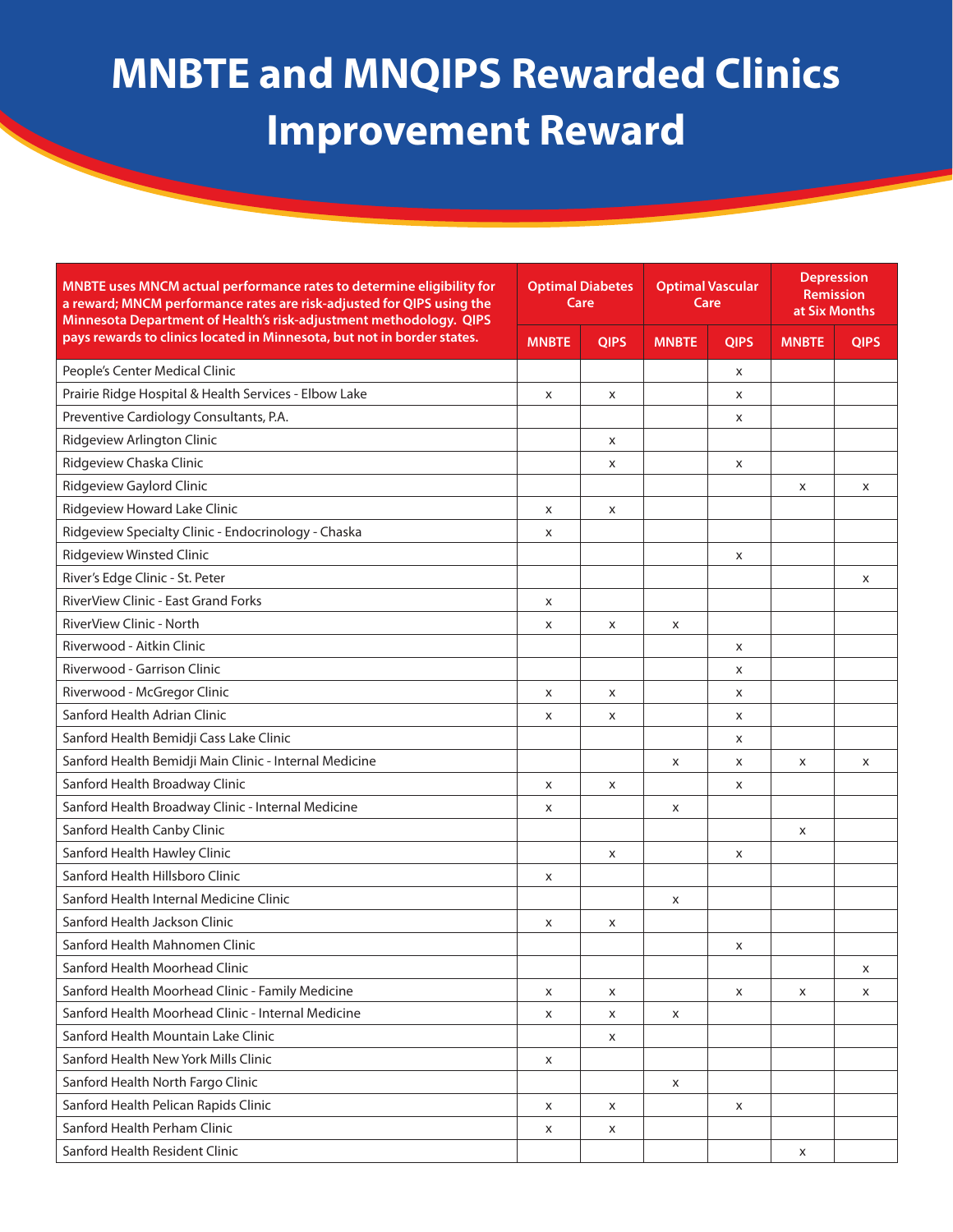| MNBTE uses MNCM actual performance rates to determine eligibility for<br>a reward; MNCM performance rates are risk-adjusted for QIPS using the<br>Minnesota Department of Health's risk-adjustment methodology. QIPS | <b>Optimal Diabetes</b><br>Care |             | <b>Optimal Vascular</b><br>Care |             | <b>Depression</b><br><b>Remission</b><br>at Six Months |             |
|----------------------------------------------------------------------------------------------------------------------------------------------------------------------------------------------------------------------|---------------------------------|-------------|---------------------------------|-------------|--------------------------------------------------------|-------------|
| pays rewards to clinics located in Minnesota, but not in border states.                                                                                                                                              | <b>MNBTE</b>                    | <b>QIPS</b> | <b>MNBTE</b>                    | <b>QIPS</b> | <b>MNBTE</b>                                           | <b>QIPS</b> |
| People's Center Medical Clinic                                                                                                                                                                                       |                                 |             |                                 | X           |                                                        |             |
| Prairie Ridge Hospital & Health Services - Elbow Lake                                                                                                                                                                | X                               | X           |                                 | X           |                                                        |             |
| Preventive Cardiology Consultants, P.A.                                                                                                                                                                              |                                 |             |                                 | X           |                                                        |             |
| Ridgeview Arlington Clinic                                                                                                                                                                                           |                                 | X           |                                 |             |                                                        |             |
| Ridgeview Chaska Clinic                                                                                                                                                                                              |                                 | X           |                                 | X           |                                                        |             |
| Ridgeview Gaylord Clinic                                                                                                                                                                                             |                                 |             |                                 |             | X                                                      | X           |
| Ridgeview Howard Lake Clinic                                                                                                                                                                                         | x                               | X           |                                 |             |                                                        |             |
| Ridgeview Specialty Clinic - Endocrinology - Chaska                                                                                                                                                                  | x                               |             |                                 |             |                                                        |             |
| <b>Ridgeview Winsted Clinic</b>                                                                                                                                                                                      |                                 |             |                                 | X           |                                                        |             |
| River's Edge Clinic - St. Peter                                                                                                                                                                                      |                                 |             |                                 |             |                                                        | X           |
| <b>RiverView Clinic - East Grand Forks</b>                                                                                                                                                                           | X                               |             |                                 |             |                                                        |             |
| RiverView Clinic - North                                                                                                                                                                                             | x                               | X           | X                               |             |                                                        |             |
| Riverwood - Aitkin Clinic                                                                                                                                                                                            |                                 |             |                                 | X           |                                                        |             |
| Riverwood - Garrison Clinic                                                                                                                                                                                          |                                 |             |                                 | X           |                                                        |             |
| Riverwood - McGregor Clinic                                                                                                                                                                                          | X                               | X           |                                 | X           |                                                        |             |
| Sanford Health Adrian Clinic                                                                                                                                                                                         | x                               | X           |                                 | X           |                                                        |             |
| Sanford Health Bemidji Cass Lake Clinic                                                                                                                                                                              |                                 |             |                                 | X           |                                                        |             |
| Sanford Health Bemidji Main Clinic - Internal Medicine                                                                                                                                                               |                                 |             | X                               | X           | x                                                      | X           |
| Sanford Health Broadway Clinic                                                                                                                                                                                       | X                               | X           |                                 | X           |                                                        |             |
| Sanford Health Broadway Clinic - Internal Medicine                                                                                                                                                                   | x                               |             | x                               |             |                                                        |             |
| Sanford Health Canby Clinic                                                                                                                                                                                          |                                 |             |                                 |             | X                                                      |             |
| Sanford Health Hawley Clinic                                                                                                                                                                                         |                                 | X           |                                 | x           |                                                        |             |
| Sanford Health Hillsboro Clinic                                                                                                                                                                                      | X                               |             |                                 |             |                                                        |             |
| Sanford Health Internal Medicine Clinic                                                                                                                                                                              |                                 |             | X                               |             |                                                        |             |
| Sanford Health Jackson Clinic                                                                                                                                                                                        | x                               | X           |                                 |             |                                                        |             |
| Sanford Health Mahnomen Clinic                                                                                                                                                                                       |                                 |             |                                 | X           |                                                        |             |
| Sanford Health Moorhead Clinic                                                                                                                                                                                       |                                 |             |                                 |             |                                                        | X           |
| Sanford Health Moorhead Clinic - Family Medicine                                                                                                                                                                     | x                               | X           |                                 | X           | X                                                      | X           |
| Sanford Health Moorhead Clinic - Internal Medicine                                                                                                                                                                   | x                               | X           | X                               |             |                                                        |             |
| Sanford Health Mountain Lake Clinic                                                                                                                                                                                  |                                 | X           |                                 |             |                                                        |             |
| Sanford Health New York Mills Clinic                                                                                                                                                                                 | X                               |             |                                 |             |                                                        |             |
| Sanford Health North Fargo Clinic                                                                                                                                                                                    |                                 |             | X                               |             |                                                        |             |
| Sanford Health Pelican Rapids Clinic                                                                                                                                                                                 | X                               | X           |                                 | X           |                                                        |             |
| Sanford Health Perham Clinic                                                                                                                                                                                         | x                               | X           |                                 |             |                                                        |             |
| Sanford Health Resident Clinic                                                                                                                                                                                       |                                 |             |                                 |             | X                                                      |             |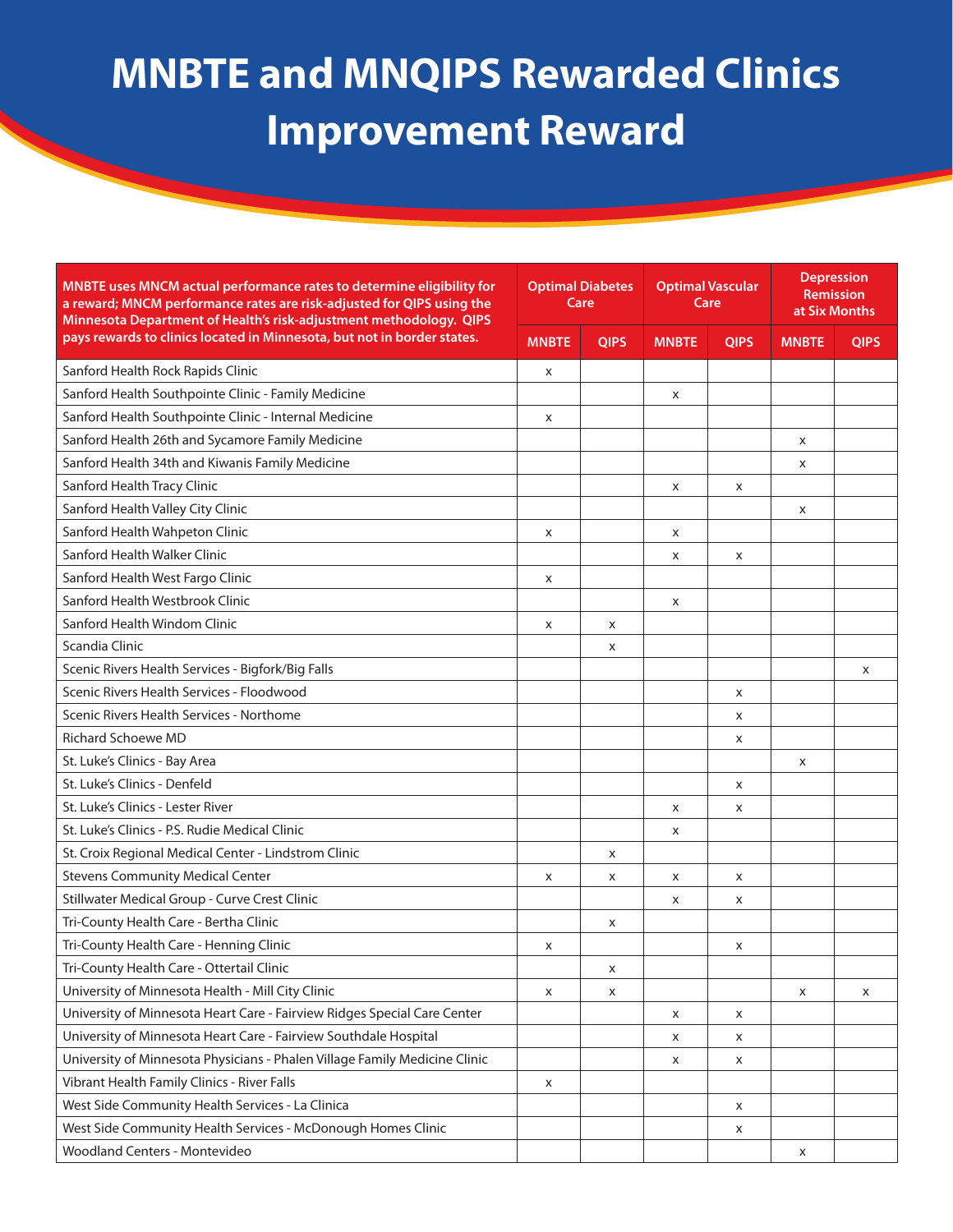| MNBTE uses MNCM actual performance rates to determine eligibility for<br>a reward; MNCM performance rates are risk-adjusted for QIPS using the<br>Minnesota Department of Health's risk-adjustment methodology. QIPS | <b>Optimal Diabetes</b><br>Care |             | <b>Optimal Vascular</b><br>Care |             | <b>Depression</b><br><b>Remission</b><br>at Six Months |             |
|----------------------------------------------------------------------------------------------------------------------------------------------------------------------------------------------------------------------|---------------------------------|-------------|---------------------------------|-------------|--------------------------------------------------------|-------------|
| pays rewards to clinics located in Minnesota, but not in border states.                                                                                                                                              | <b>MNBTE</b>                    | <b>QIPS</b> | <b>MNBTE</b>                    | <b>QIPS</b> | <b>MNBTE</b>                                           | <b>QIPS</b> |
| Sanford Health Rock Rapids Clinic                                                                                                                                                                                    | X                               |             |                                 |             |                                                        |             |
| Sanford Health Southpointe Clinic - Family Medicine                                                                                                                                                                  |                                 |             | X                               |             |                                                        |             |
| Sanford Health Southpointe Clinic - Internal Medicine                                                                                                                                                                | x                               |             |                                 |             |                                                        |             |
| Sanford Health 26th and Sycamore Family Medicine                                                                                                                                                                     |                                 |             |                                 |             | X                                                      |             |
| Sanford Health 34th and Kiwanis Family Medicine                                                                                                                                                                      |                                 |             |                                 |             | X                                                      |             |
| Sanford Health Tracy Clinic                                                                                                                                                                                          |                                 |             | X                               | X           |                                                        |             |
| Sanford Health Valley City Clinic                                                                                                                                                                                    |                                 |             |                                 |             | X                                                      |             |
| Sanford Health Wahpeton Clinic                                                                                                                                                                                       | X                               |             | X                               |             |                                                        |             |
| Sanford Health Walker Clinic                                                                                                                                                                                         |                                 |             | x                               | X           |                                                        |             |
| Sanford Health West Fargo Clinic                                                                                                                                                                                     | x                               |             |                                 |             |                                                        |             |
| Sanford Health Westbrook Clinic                                                                                                                                                                                      |                                 |             | X                               |             |                                                        |             |
| Sanford Health Windom Clinic                                                                                                                                                                                         | x                               | X           |                                 |             |                                                        |             |
| Scandia Clinic                                                                                                                                                                                                       |                                 | X           |                                 |             |                                                        |             |
| Scenic Rivers Health Services - Bigfork/Big Falls                                                                                                                                                                    |                                 |             |                                 |             |                                                        | X           |
| Scenic Rivers Health Services - Floodwood                                                                                                                                                                            |                                 |             |                                 | X           |                                                        |             |
| Scenic Rivers Health Services - Northome                                                                                                                                                                             |                                 |             |                                 | X           |                                                        |             |
| <b>Richard Schoewe MD</b>                                                                                                                                                                                            |                                 |             |                                 | X           |                                                        |             |
| St. Luke's Clinics - Bay Area                                                                                                                                                                                        |                                 |             |                                 |             | X                                                      |             |
| St. Luke's Clinics - Denfeld                                                                                                                                                                                         |                                 |             |                                 | X           |                                                        |             |
| St. Luke's Clinics - Lester River                                                                                                                                                                                    |                                 |             | X                               | X           |                                                        |             |
| St. Luke's Clinics - P.S. Rudie Medical Clinic                                                                                                                                                                       |                                 |             | X                               |             |                                                        |             |
| St. Croix Regional Medical Center - Lindstrom Clinic                                                                                                                                                                 |                                 | X           |                                 |             |                                                        |             |
| <b>Stevens Community Medical Center</b>                                                                                                                                                                              | x                               | X           | x                               | X           |                                                        |             |
| Stillwater Medical Group - Curve Crest Clinic                                                                                                                                                                        |                                 |             | x                               | X           |                                                        |             |
| Tri-County Health Care - Bertha Clinic                                                                                                                                                                               |                                 | X           |                                 |             |                                                        |             |
| Tri-County Health Care - Henning Clinic                                                                                                                                                                              | x                               |             |                                 | х           |                                                        |             |
| Tri-County Health Care - Ottertail Clinic                                                                                                                                                                            |                                 | X           |                                 |             |                                                        |             |
| University of Minnesota Health - Mill City Clinic                                                                                                                                                                    | x                               | X           |                                 |             | X                                                      | x           |
| University of Minnesota Heart Care - Fairview Ridges Special Care Center                                                                                                                                             |                                 |             | x                               | X           |                                                        |             |
| University of Minnesota Heart Care - Fairview Southdale Hospital                                                                                                                                                     |                                 |             | x                               | x           |                                                        |             |
| University of Minnesota Physicians - Phalen Village Family Medicine Clinic                                                                                                                                           |                                 |             | x                               | X           |                                                        |             |
| Vibrant Health Family Clinics - River Falls                                                                                                                                                                          | x                               |             |                                 |             |                                                        |             |
| West Side Community Health Services - La Clinica                                                                                                                                                                     |                                 |             |                                 | Х           |                                                        |             |
| West Side Community Health Services - McDonough Homes Clinic                                                                                                                                                         |                                 |             |                                 | x           |                                                        |             |
| <b>Woodland Centers - Montevideo</b>                                                                                                                                                                                 |                                 |             |                                 |             | x                                                      |             |